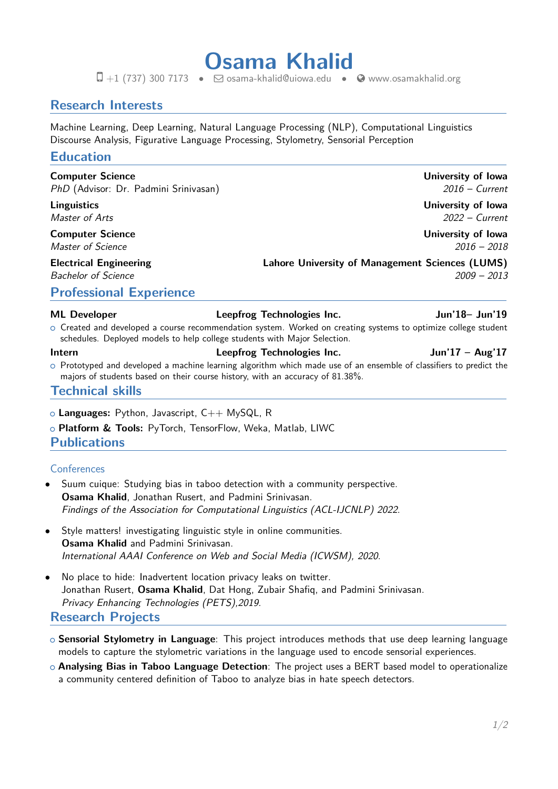**Osama Khalid**  $\Box$  +1 (737) 300 7173 •  $\Box$  [osama-khalid@uiowa.edu](mailto:osama-khalid@uiowa.edu) •  $\odot$  [www.osamakhalid.org](http://www.osamakhalid.org/)

# **Research Interests**

Machine Learning, Deep Learning, Natural Language Processing (NLP), Computational Linguistics Discourse Analysis, Figurative Language Processing, Stylometry, Sensorial Perception

## **Education**

**Computer Science University of Iowa** PhD (Advisor: Dr. Padmini Srinivasan) 2016 – Current

**Computer Science University of Iowa**

**Linguistics University of Iowa** Master of Arts 2022 – Current

Master of Science 2016 – 2018

**Electrical Engineering Lahore University of Management Sciences (LUMS)**

Bachelor of Science 2009 – 2013

# **Professional Experience**

### **ML Developer Leepfrog Technologies Inc. Jun'18– Jun'19**

o Created and developed a course recommendation system. Worked on creating systems to optimize college student schedules. Deployed models to help college students with Major Selection.

### **Intern Leepfrog Technologies Inc. Jun'17 – Aug'17**

 $\circ$  Prototyped and developed a machine learning algorithm which made use of an ensemble of classifiers to predict the majors of students based on their course history, with an accuracy of 81.38%.

### **Technical skills**

- <sup>+</sup> **Languages:** Python, Javascript, C++ MySQL, R
- <sup>+</sup> **Platform & Tools:** PyTorch, TensorFlow, Weka, Matlab, LIWC

### **Publications**

### **Conferences**

- Suum cuique: Studying bias in taboo detection with a community perspective. **Osama Khalid**, Jonathan Rusert, and Padmini Srinivasan. Findings of the Association for Computational Linguistics (ACL-IJCNLP) 2022.
- Style matters! investigating linguistic style in online communities. **Osama Khalid** and Padmini Srinivasan. International AAAI Conference on Web and Social Media (ICWSM), 2020.
- No place to hide: Inadvertent location privacy leaks on twitter. Jonathan Rusert, **Osama Khalid**, Dat Hong, Zubair Shafiq, and Padmini Srinivasan. Privacy Enhancing Technologies (PETS),2019.

# <span id="page-0-0"></span>**Research Projects**

- <sup>+</sup> **Sensorial Stylometry in Language**: This project introduces methods that use deep learning language models to capture the stylometric variations in the language used to encode sensorial experiences.
- <sup>+</sup> **Analysing Bias in Taboo Language Detection**: The project uses a BERT based model to operationalize a community centered definition of Taboo to analyze bias in hate speech detectors.